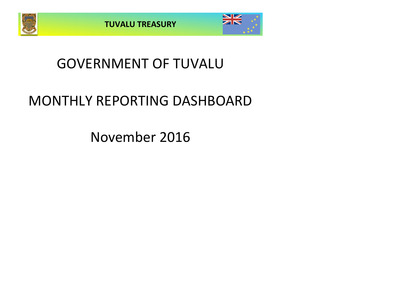



## GOVERNMENT OF TUVALU

# MONTHLY REPORTING DASHBOARD

November 2016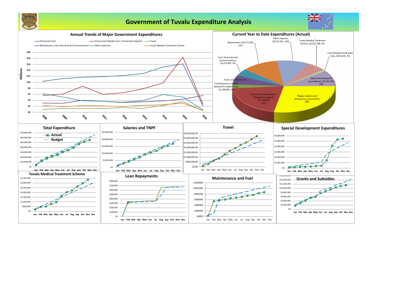

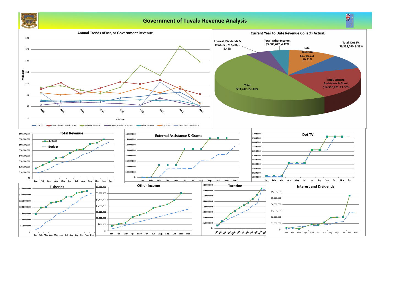**Total, Dot TV, \$6,355,030, 9.33%**

## **Government of Tuvalu Revenue Analysis Interest, Dividends & Rent, -\$3,712,786, - 5.45% Total, Other Income, \$3,008,672, 4.42% Total Taxation \$6,786,211 10.81% Current Year to Date Revenue Collect (Actual)**



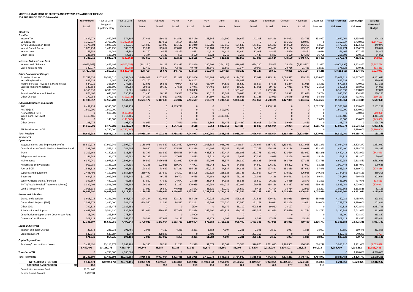### **MONTHLY STATEMENT OF RECEIPTS AND PAYENTS BY NATURE OF EXPENSE**

**FOR THE PERIOD ENDED 30-Nov-16**

|                                                                               | <b>Year to Date</b> | Year to Date       | Year to Date              | January            | February                          | March            | April             | May                 | June                        | July             | August              | September         | October              | November            | Decembe          | <b>Actual + Forecast</b> | 2016 Budget        | Variance               |
|-------------------------------------------------------------------------------|---------------------|--------------------|---------------------------|--------------------|-----------------------------------|------------------|-------------------|---------------------|-----------------------------|------------------|---------------------|-------------------|----------------------|---------------------|------------------|--------------------------|--------------------|------------------------|
|                                                                               | <b>Actual</b>       | Budget &           | Variance                  | Actual             | Actual                            | Actual           | Actual            | Actual              | Actual                      | Actual           | Actual              | Actual            | Actual               | Actual              | Forecast         | <b>Full Year</b>         | <b>Full Year</b>   | Forecast &             |
|                                                                               |                     | Supplementary      |                           |                    |                                   |                  |                   |                     |                             |                  |                     |                   |                      |                     |                  |                          |                    | <b>Budget</b>          |
| <b>RECEIPTS</b><br>Taxation                                                   |                     |                    |                           |                    |                                   |                  |                   |                     |                             |                  |                     |                   |                      |                     |                  |                          |                    |                        |
| Income Tax                                                                    | 1,837,072           | 1,462,966          | 374,106                   | 177,406            | 159,806                           | 142,531          | 155,170           | 158,546             | 201,900                     | 166,652          | 142,108             | 215,216           | 144,022              | 173,715             | 132,997          | 1,970,069                | 1,595,963          | 374,106                |
| Company Tax                                                                   | 1,352,337           | 2,700,000          | 1,347,663)                |                    | 317,561                           | 3,194            | 385,366           |                     | $\Omega$                    | - 0              |                     | $\bigcap$         | 316,173              | 330,043             |                  | 1,352,337                | 2,700,000          | (1, 347, 663)          |
| <b>Tuvalu Consumption Taxes</b>                                               | 1,378,904           | 1,029,829          | 349,075                   | 124,500            | 124,029                           | 111,132          | 111,049           | 112,781             | 107,966                     | 124,643          | 141,660             | 136,280           | 142,600              | 142,263             | 93,621           | 1,472,525                | 1,123,450          | 349,075                |
| Import Duty & Excise                                                          | 1,823,753           | 1,435,736          | 388,017                   | 125,289            | 149,012                           | 189,818          | 155,780           | 158,109             | 201,132                     | 105,874          | 194,593             | 205,485           | 159,106              | 179,555             | 130,521          | 1,954,274                | 1,566,257          | 388,017                |
| Import Levy<br><b>Other Taxes</b>                                             | 155,552<br>238,593  | 116,749<br>183,792 | 38,803<br>54,801          | 13,270<br>3,194    | 9,563<br>3,137                    | 15,360<br>500    | 12,671<br>2,100   | 14,619<br>6,623     | 14,414<br>3,210             | 13,444<br>1,253  | 12,008<br>7,437     | 18,843<br>5,800   | 15,499<br>1,100      | 15,861<br>204,240   | 10,614<br>16,708 | 166,166<br>255,301       | 127,363<br>200,500 | 38,803<br>54,801       |
|                                                                               | 6,786,211           | 6,929,072          | (142, 861)                | 443,660            | 763,108                           | 462,535          | 822,135           | 450,677             | 528,623                     | 411,866          | 497,806             | 581,624           | 778,500              | 1,045,677           | 384,461          | 7,170,672                | 7,313,533          | (142, 861)             |
| <b>Interest, Dividends and Rent</b>                                           |                     |                    |                           |                    |                                   |                  |                   |                     |                             |                  |                     |                   |                      |                     |                  |                          |                    |                        |
| <b>Interest and Dividends</b>                                                 | (4,055,563)         | 2,452,195          | (6,507,758)               | (261, 151)         | 18,119                            | 203,373          | 422,849           | 290,709             | (154, 154)                  | 418,948          | 694,220             | 35,903            | 28,269               | (5,752,647)         | 51,667           | (4,003,896)              | 2,503,862          | (6,507,758)            |
| Lease, rent and hire                                                          | 342,777             | 358,060            | (15, 283)                 | 52,452             | 8,559                             | 42,420           | 49,749            | 28,640              | 53,669                      | 21,374           | 20,907              | 22,759            | 20,766               | 21,483              | 32,551           | 375,328                  | 390,611            | (15, 283)              |
|                                                                               | (3,712,786)         | 2,810,255          | (6,523,041                | (208, 700)         | 26,678                            | 245,793          | 472,598           | 319,349             | (100, 485)                  | 440,322          | 715,127             | 58,662            | 49,035               | (5,731,164)         | 84,218           | (3,628,568)              | 2,894,473          | (6,523,041)            |
| <b>Other Government Charges</b><br><b>Fisheries Licenses</b>                  | 33,742,655          | 29,591,010         | 4,151,646                 | 14,674,907         | 5,162,816                         | 421,999          | 3,722,466         | 524,184             | 1,069,435                   | ,124,754         | 127,047             | 2,985,194         | 1,090,597            | 839,256             | 1,926,455        | 35,669,111               | 31,517,465         | 4,151,646              |
| <b>Vessel Registrations</b>                                                   | 897,634             | 1,146              | 896,488                   | 203,170            | $\Omega$                          | $\Omega$         | 243,262           |                     |                             | 238,052          | - 0                 | $\Omega$          | 213,150              |                     | 104              | 897,738                  | 1,250              | 896,488                |
| Marine Services (Nivaga II & Manu Folau)                                      | 644,021             | 366,667            | 277,355                   | 62,691             | 66,596                            | 49,994           | 62,798            | 63,407              | 44,532                      | 35,620           | 68,557              | 57,568            | 51,244               | 81,015              | 33,333           | 677,354                  | 400,000            | 277,355                |
| Stevedoring and Wharfage                                                      | 320,553             | 236,500            | 84,053                    | 29,556             | 30,139                            | 27,585           | 37,071            | 64,466              | 8,867                       | 19,239           | 17,951              | 19,789            | 27,911               | 37,980              | 21,500           | 342,053                  | 258,000            | 84,053                 |
| .TV                                                                           | 6,355,030           | 6,338,028          | 17,001                    | 1,628,217          | - 0                               | $\Omega$         | L,580,000         |                     |                             | 1,591,468        |                     | 1,555,344         | $\overline{0}$       | - 0                 |                  | 6,355,030                | 6,338,028          | 17,001                 |
| Provision of Goods and Services<br><b>Other Charges</b>                       | 876,406<br>270,058  | 646,186<br>379,171 | 230,220<br>(109, 113)     | 61,430<br>24,207   | 40,132<br>17,927                  | 19,553<br>13,681 | 79,720<br>21,309  | 36,617<br>24,697    | 32,349<br>81,766            | 60,644<br>16,665 | 23,164<br>31,143    | 57,370<br>13,059  | 34,381<br>10,549     | 431,046<br>15,056   | 58,744<br>34,470 | 935,150<br>304,528       | 704,930<br>413,641 | 230,220<br>(109, 113)  |
|                                                                               | 43,106,357          | 37,558,708         | 5,547,649                 | 16,684,177         | 5,317,609                         | 532,812          | 5,746,627         | 713,370             | 1,236,949                   | 5,086,442        | 267,862             | 4,688,324         | 1,427,831            | 1,404,352           | 2,074,607        | 45,180,964               | 39,633,315         | 5,547,649              |
| External Assistance and Grants                                                |                     |                    |                           |                    |                                   |                  |                   |                     |                             |                  |                     |                   |                      |                     |                  |                          |                    |                        |
| <b>ROC</b>                                                                    | 8,497,938           | 6,335,680          | 2,162,258                 |                    | 0                                 | 4,539,740        | $\overline{0}$    | $\Omega$            |                             | $\Omega$         | $\Omega$            | 3,958,198         | $\Omega$             |                     | 3,072,771        | 11,570,709               | 9,408,451          | 2,162,258              |
| AusAID (CIF)                                                                  | 1,500,000           | 1,500,000          |                           |                    |                                   |                  | $\Omega$          |                     | 1,500,000                   | $\Omega$         |                     |                   | $\Omega$             |                     |                  | 1,500,000                | 1,500,000          |                        |
| New Zealand (CIF)<br>World Bank, IMF, ADB                                     | 4,313,486           | 500,000            | (500,000)<br>4,313,486    |                    |                                   |                  | $\Omega$          |                     | 4,313,486                   |                  |                     |                   | $\Omega$<br>$\Omega$ |                     |                  | 4,313,486                | 500,000<br>-C      | (500,000)<br>4,313,486 |
| <b>PDF</b>                                                                    |                     | 143,000            | (143,000)                 |                    |                                   | $\Omega$         |                   |                     |                             | $\Omega$         |                     |                   | $\Omega$             |                     | 13,000           | 13,000                   | 156,000            | (143,000)              |
| <b>Other Donors</b>                                                           | 198,776             |                    | 198,776                   | 48,967             | $\Omega$                          | 7,440            | 2,618             | 6,864               | 69,476                      | (23, 426)        | 15,608              | 28,796            | 39,964               | 2,469               |                  | 198,776                  |                    | 198,776                |
|                                                                               | 14,510,201          | 8,478,680          | 6,031,520                 | 48,967             | $\mathbf{0}$                      | 4,547,180        | 2,618             | 6,864               | 5,882,962                   | (23, 426)        | 15,608              | 3,986,994         | 39,964               | 2,469               | 3,085,771        | 17,595,972               | 11,564,451         | 6,031,520              |
| TTF Distribution to CIF                                                       |                     | 4,780,000          | (4,780,000)               |                    | O                                 | $\Omega$         | $\Omega$          |                     |                             | - റ              |                     | $\Omega$          | $\Omega$             | $\Omega$            |                  |                          | 4,780,000          | (4,780,000)            |
| <b>Total Receipts</b>                                                         | 60,689,983          | 60,556,715         | 133,268                   | 16,968,104         | 6,107,396                         | 5,788,320        | 7,043,977         | 1,490,261           | 7,548,048                   | 5,915,204        | 1,496,404           | 9,315,604         | 2,295,330            | (3, 278, 666)       | 5,629,057        | 66,319,040               | 66,185,772         | 133,268                |
| <b>PAYMENTS</b>                                                               |                     |                    |                           |                    |                                   |                  |                   |                     |                             |                  |                     |                   |                      |                     |                  |                          |                    |                        |
| <b>Operations</b>                                                             |                     |                    |                           |                    |                                   |                  |                   |                     |                             |                  |                     |                   |                      |                     |                  |                          |                    |                        |
| Wages, Salaries, and Employee Benefits                                        | 15,512,972          | 17,910,949         | 2,397,977                 | 1,155,075          | 1,348,582                         | 1,322,462        | L,409,005         | 1,303,385           | 1,938,201                   | 1,340,854        | 1,173,697           | 1,887,367         | 1,332,421            | 1,301,925           | 1,531,273        | 17,044,245               | 18,375,277         | 1,331,032              |
| <b>Contributions to Tuvalu National Provident Fund</b>                        | 1,338,005           | 1,579,611          | 241,606                   | 90,840             | 115,470                           | 105,528          | 112,338           | 104,695             | 175,042                     | 115,349          | 107,263             | 174,328           | 118,134              | 119,018             | 132,395          | 1,470,400                | 1,588,743          | 118,343                |
| Travel                                                                        | 3,209,163           | 4,142,521          | 933,357                   | 63,797             | 218,522                           | 336,528          | 247,838           | 443,878             | 367,417                     | 268,893          | 332,775             | 273,980           | 321,614              | 333,922             | 233,249          | 3,442,412                | 2,798,990          | (643, 423)             |
| Telephone and Internet                                                        | 146,583             | 236,175            | 89,592                    | 14,232             | 13,901                            | 17,089           | 13,483            | 18,212              | 13,457                      | 5,682            | 17,339              | 8,099             | 14,269               | 10,819              | 15,234           | 161,817                  | 182,807            | 20,990                 |
| Maintenance                                                                   | 6,377,240           | 8,973,387          | 2,596,148                 | 66,502             | 5,076,948                         | 108,932          | 120,865           | 57,704              | 85,377                      | 136,330          | 238,825             | 96,685            | 261,716              | 127,355             | 273,715          | 6,650,955                | 9,313,580          | 2,662,626              |
| <b>Advertising and Provisions</b>                                             | 909,089             | 1,143,924          | 234,835                   | 42,248             | 102,923                           | 169,371          | 47,901            | 91,942              | 82,278                      | 64,086           | 84,660              | 106,387           | 50,292               | 67,001              | 98,355           | 1,007,444                | 1,187,071          | 179,628                |
| Fuel and Oi                                                                   | 1,546,512           | 1,751,863          | 205,351                   | 198,832            | 73,637                            | 117,231          | 156,135           | 160,715             | 94,537                      | 134,885          | 93,241              | 177,831           | 151,838              | 187,630             | 97,475           | 1,643,987                | 1,169,701          | (474, 286)             |
| Supplies and Equipment                                                        | 2,495,496           | 4,152,605          | 1,657,109                 | 239,492            | 157,552                           | 94,307           | 198,305           | 169,629             | 265,928                     | 168,746          | 201,567             | 422,474           | 270,562              | 306,935             | 249,349          | 2,744,845                | 3,034,153          | 289,308                |
| Electricity                                                                   | 684,319             | 1,039,964          | 355,645                   | (11, 873)          | 46,253                            | 80,701           | 9,555             | 177,153             | 18,856                      | 25,126           | 103,396             | 2,136             | 140,511              | 92,506              | 80,541           | 764,861                  | 966,495            | 201,634                |
| Senior Citizen Scheme / Pension                                               | 399,367             | 442,021            | 42,653                    | 37,860             | 47,867                            | 24,677           | 25,389            | 25,142              | 24,388                      | 55,848           | 28,619              | 26,229            | 24,469               | 78,879              | 31,823           | 431,191                  | 417,678            | (13,513)               |
| <b>TMTS (Tuvalu Medical Treatment Scheme)</b>                                 | 3,332,708           | 3,596,294          | 263,586                   | 196,336            | 256,450                           | 51,252           | 270,955           | 192,959             | 691,719                     | 367,097          | 190,463             | 434,186           | 313,357              | 367,933             | 250,333          | 3,583,041                | 3,004,000          | (579, 041)             |
| Land & Property Rent                                                          | 1,018,135           | 1,113,028          | 94,893                    | 27,029             | 26,540                            | 746,015          | 25,842            | 46,320              | 37,230                      | 28,659           | 9,413               | 41,404            | 16,754               | 12,929              | 32,227           | 1,050,363                | 1,132,516          | 82,153                 |
|                                                                               | 36,969,590          | 46,082,342         | 9,112,752                 | 2,120,369          | 7,484,646                         | 3,174,092        | 2,637,611         | 2,791,734           | 3,794,428                   | 2,711,554        | 2,581,258           | 3,651,108         | 3,015,938            | 3,006,851           | 3,025,970        | 39,995,561               | 43,171,011         | 3,175,451              |
| <b>Grants and Subsidies</b>                                                   |                     |                    |                           |                    |                                   |                  |                   |                     |                             |                  |                     |                   |                      |                     |                  |                          |                    |                        |
| <b>Grants and Subsidies</b>                                                   | 3,608,026           | 4,251,701          | 643,675                   | 394,244            | 292,006                           | 623,181          | 295,149           | 170,926             | 291,092                     | 595,835          | 172,586             | 429,431           | 103,958              | 239,619             | 554,055          | 4,162,081                | 4,455,671          | 293,590                |
| Outer Island Projects (SDE)                                                   | 2,538,574           | 2,880,000          | 341,426                   | 644,560            | 41,536                            | 84,512           | 421,241           | 123,794             | 700,230                     | 17,540           | 251,171             | 89,031            | 151,268              | 13,691              | 240,000          | 2,778,574                | 2,880,000          | 101,426                |
| Other SDEs                                                                    | 790,824             | 2,813,476          | 2,022,652                 |                    |                                   | 0                | (100)             |                     | 59,179                      | 35,110           | 603,528             | 69,910            | 23,197               |                     |                  | 790,824                  | 3,772,540          | 2,981,716              |
| Scholarships and Support                                                      | 4,688,265           | 5,524,630          | 836,366                   | 591,644            | 630,482                           | 437,958          | 521,874           | 243,690             | 661,812                     | 326,223          | 415,512             | 341,676           | 375,620              | 141,774             | 442,722          | 5,130,987                | 6,042,665          | 911,678                |
| Contribution to Japan Grant Counterpart Fund                                  | 15,000              | 293,847            | 278,847                   |                    |                                   | 0                | 15,000            |                     |                             | - 0              |                     | - 0               | $\Omega$             |                     |                  | 15,000                   | 278,847            | 263,847                |
| <b>Overseas Contributions</b>                                                 | 508,118             | 875,396            | 367,277                   | 69,581             | 277,029                           | 18,133           | 7,640             | 37,173              | 4,009                       | 20,692           | 8,587               | 47,868            | 2,010                | 15,396              |                  | 508,118                  | 993,592            | 485,474                |
|                                                                               | 12,148,807          | 16,639,050         | 4,490,243                 | 1,700,029          | 1,241,054                         | 1,163,783        | 1,260,804         | 575,583             | 1,716,322                   | 995,400          | 1,451,383           | 977,915           | 656,053              | 410,480             | 1,236,777        | 13,385,584               | 18,423,315         | 5,037,730              |
| Loans and Interest                                                            |                     |                    |                           |                    |                                   |                  |                   |                     |                             |                  |                     |                   |                      |                     |                  |                          |                    |                        |
| <b>Interest and Bank Charges</b>                                              | 29,573              | 221,038            | 191,465                   | 2,045              | 4,119                             | 4,269            | 2,221             | 1,882               | 4,107                       | 2,281            | 2,391               | 2,507             | 1,937                | 1,815               | 18,007           | 47,580                   | 260,478            | 212,898                |
| Loan Repayment                                                                | 642,048             | 643,687            | 1,640                     |                    | 328,893                           |                  |                   | 9,400               |                             |                  | 303,755             |                   |                      |                     |                  | 642,048                  | 640,281            | (1,767)                |
|                                                                               | 671,621             | 864,725            | 193,104                   | 2,045              | 333,012                           | 4,269            | 2,221             | 11,282              | 4,107                       | 2,281            | 306,146             | 2,507             | 1,937                | 1,815               | 18,007           | 689,628                  | 900,759            | 211,131                |
| <b>Capital Expenditures</b>                                                   |                     |                    |                           |                    |                                   |                  |                   |                     |                             |                  |                     |                   |                      |                     |                  |                          |                    |                        |
| Purchase/construction of assets                                               | 5,452,491           | 13,116,275         | 7,663,784                 | 94.140             | 38,354                            | 81,281           | 51,329            | 31,679              | 81,501                      | 55,704           | 976,876             | 2,711,010         | 1,204,302            | 126,316             | 504,218          | 5,956,710                | 4,931,662          | (1,025,048)            |
|                                                                               | 5,452,491           | 13,116,275         | 7,663,784                 | 94,140             | 38,354                            | 81,281           | 51,329            | 31,679              | 81,501                      | 55,704           | 976,876             | 2,711,010         | 1,204,302            | 126,316             | 504,218          | 5,956,710                | 4,931,662          | (1,025,048)            |
| <b>Transfer to TTF</b>                                                        |                     | 4,780,000          | 4,780,000                 |                    |                                   |                  |                   |                     |                             |                  |                     |                   |                      |                     |                  |                          | 4,780,000          | 4,780,000              |
| <b>Total Payments</b>                                                         | 55,242,509          | 81,482,393         | 26,239,88                 | 3,916,583          | 9,097,064                         | 4,423,425        | 3,951,965         | 3,410,278           | 5,596,358                   | 3,764,940        | 5,315,663           | 7,342,540         | 4,878,231            | 3,545,462           | 4,784,972        | 60,027,482               | 72,206,747         | 12,179,265             |
|                                                                               |                     |                    |                           |                    |                                   |                  |                   |                     |                             |                  |                     |                   |                      |                     |                  |                          |                    |                        |
| <b>NET SURPLUS / (DEFICIT)</b><br><u>\$M</u><br><b>FORECAST CASH POSITION</b> | 5,447,474<br>30.8   |                    | $(20,925,677)$ 26,373,151 | 13,051,521<br>38.4 | $(2,989,669)$ $1,364,895$<br>35.5 | 36.8             | 3,092,012<br>39.9 | (1,920,017)<br>38.0 | 1,951,690 2,150,265<br>39.9 | 42.1             | (3,819,259)<br>38.3 | 1,973,064<br>40.3 | (2,582,901)<br>37.7  | (6,824,128)<br>30.8 | 844,084<br>31.7  | 6,291,558                | (6,020,975)        | 12,312,532             |
| Consolidated Investment Fund                                                  | 29,551,646          |                    |                           |                    |                                   |                  |                   |                     |                             |                  |                     |                   |                      |                     |                  |                          |                    |                        |
| <b>General Current Account</b>                                                | 1,292,704           |                    |                           |                    |                                   |                  |                   |                     |                             |                  |                     |                   |                      |                     |                  |                          |                    |                        |
|                                                                               |                     |                    |                           |                    |                                   |                  |                   |                     |                             |                  |                     |                   |                      |                     |                  |                          |                    |                        |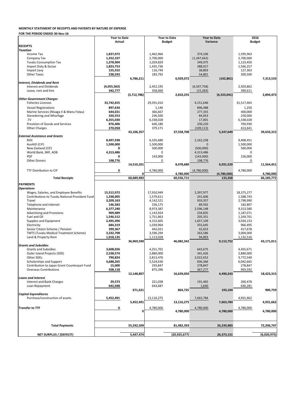|                                                 | <b>Year to Date</b> |             |            | <b>Year to Date</b> |               | <b>Year to Date</b> | 2016          |             |
|-------------------------------------------------|---------------------|-------------|------------|---------------------|---------------|---------------------|---------------|-------------|
|                                                 | <b>Actual</b>       |             |            | <b>Budget</b>       |               | Variance            | <b>Budget</b> |             |
| <b>RECEIPTS</b>                                 |                     |             |            |                     |               |                     |               |             |
| <b>Taxation</b><br>Income Tax                   | 1,837,072           |             | 1,462,966  |                     | 374,106       |                     | 1,595,963     |             |
| Company Tax                                     | 1,352,337           |             | 2,700,000  |                     | (1, 347, 663) |                     | 2,700,000     |             |
| <b>Tuvalu Consumption Tax</b>                   | 1,378,904           |             | 1,029,829  |                     | 349,075       |                     | 1,123,450     |             |
| Import Duty & Excise                            | 1,823,753           |             | 1,435,736  |                     | 388,017       |                     | 1,566,257     |             |
| Import Levy                                     | 155,552             |             | 116,749    |                     | 38,803        |                     | 127,363       |             |
| <b>Other Taxes</b>                              | 238,593             |             | 183,792    |                     | 54,801        |                     | 200,500       |             |
|                                                 |                     | 6,786,211   |            | 6,929,072           |               | (142, 861)          |               | 7,313,533   |
| Interest, Dividends and Rent                    |                     |             |            |                     |               |                     |               |             |
| <b>Interest and Dividends</b>                   | (4,055,563)         |             | 2,452,195  |                     | (6,507,758)   |                     | 2,503,862     |             |
| Lease, rent and hire                            | 342,777             |             | 358,060    |                     | (15, 283)     |                     | 390,611       |             |
|                                                 |                     | (3,712,786) |            | 2,810,255           |               | (6,523,041)         |               | 2,894,473   |
| <b>Other Government Charges</b>                 |                     |             |            |                     |               |                     |               |             |
| <b>Fisheries Licenses</b>                       | 33,742,655          |             | 29,591,010 |                     | 4,151,646     |                     | 31,517,465    |             |
| <b>Vessel Registrations</b>                     | 897,634             |             | 1,146      |                     | 896,488       |                     | 1,250         |             |
| Marine Services (Nivaga II & Manu Folau)        | 644,021             |             | 366,667    |                     | 277,355       |                     | 400,000       |             |
| Stevedoring and Wharfage                        | 320,553             |             | 236,500    |                     | 84,053        |                     | 258,000       |             |
| TV                                              | 6,355,030           |             | 6,338,028  |                     | 17,001        |                     | 6,338,028     |             |
| Provision of Goods and Services                 | 876,406             |             | 646,186    |                     | 230,220       |                     | 704,930       |             |
| <b>Other Charges</b>                            | 270,058             |             | 379,171    |                     | (109, 113)    |                     | 413,641       |             |
|                                                 |                     | 43,106,357  |            | 37,558,708          |               | 5,547,649           |               | 39,633,315  |
| <b>External Assistance and Grants</b>           |                     |             |            |                     |               |                     |               |             |
| <b>ROC</b>                                      | 8,497,938           |             | 6,335,680  |                     | 2,162,258     |                     | 9,408,451     |             |
| AusAID (CIF)                                    | 1,500,000           |             | 1,500,000  |                     | O             |                     | 1,500,000     |             |
| New Zealand (CIF)                               | 0                   |             | 500,000    |                     | (500,000)     |                     | 500,000       |             |
| World Bank, IMF, ADB                            | 4,313,486           |             | O          |                     | 4,313,486     |                     | 0             |             |
| <b>PDF</b>                                      | 0                   |             | 143,000    |                     | (143,000)     |                     | 156,000       |             |
| <b>Other Donors</b>                             | 198,776             |             | 0          |                     | 198,776       |                     | 0             |             |
|                                                 |                     | 14,510,201  |            | 8,478,680           |               | 6,031,520           |               | 11,564,451  |
| <b>TTF Distribution to CIF</b>                  | 0                   |             | 4,780,000  |                     | (4,780,000)   |                     | 4,780,000     |             |
|                                                 |                     | OΓ          |            | 4,780,000           |               | (4,780,000)         |               | 4,780,000   |
| <b>Total Receipts</b>                           |                     | 60,689,983  |            | 60,556,715          |               | 133,268             |               | 66,185,772  |
| <b>PAYMENTS</b>                                 |                     |             |            |                     |               |                     |               |             |
| <b>Operations</b>                               |                     |             |            |                     |               |                     |               |             |
| Wages, Salaries, and Employee Benefits          | 15,512,972          |             | 17,910,949 |                     | 2,397,977     |                     | 18,375,277    |             |
| Contributions to Tuvalu National Provident Fund | 1,338,005           |             | 1,579,611  |                     | 241,606       |                     | 1,588,743     |             |
| Travel                                          | 3,209,163           |             | 4,142,521  |                     | 933,357       |                     | 2,798,990     |             |
| Telephone and Internet                          | 146,583             |             | 236,175    |                     | 89,592        |                     | 182,807       |             |
| Maintenance                                     | 6,377,240           |             | 8,973,387  |                     | 2,596,148     |                     | 9,313,580     |             |
| <b>Advertising and Provisions</b>               | 909,089             |             | 1,143,924  |                     | 234,835       |                     | 1,187,071     |             |
| Fuel and Oil                                    | 1,546,512           |             | 1,751,863  |                     | 205,351       |                     | 1,169,701     |             |
| Supplies and Equipment                          | 2,495,496           |             | 4,152,605  |                     | 1,657,109     |                     | 3,034,153     |             |
| Electricity                                     | 684,319             |             | 1,039,964  |                     | 355,645       |                     | 966,495       |             |
| Senior Citizen Scheme / Pension                 | 399,367             |             | 442,021    |                     | 42,653        |                     | 417,678       |             |
| <b>TMTS (Tuvalu Medical Treatment Scheme)</b>   | 3,332,708           |             | 3,596,294  |                     | 263,586       |                     | 3,004,000     |             |
| Land & Property Rent                            | 1,018,135           |             | 1,113,028  |                     | 94,893        |                     | 1,132,516     |             |
| <b>Grants and Subsidies</b>                     |                     | 36,969,590  |            | 46,082,342          |               | 9,112,752           |               | 43,171,011  |
| <b>Grants and Subsidies</b>                     | 3,608,026           |             | 4,251,701  |                     | 643,675       |                     | 4,455,671     |             |
| Outer Island Projects (SDE)                     | 2,538,574           |             | 2,880,000  |                     | 341,426       |                     | 2,880,000     |             |
| Other SDEs                                      | 790,824             |             | 2,813,476  |                     | 2,022,652     |                     | 3,772,540     |             |
| Scholarships and Support                        | 4,688,265           |             | 5,524,630  |                     | 836,366       |                     | 6,042,665     |             |
| Contribution to Japan Grant Counterpart Fund    | 15,000              |             | 293,847    |                     | 278,847       |                     | 278,847       |             |
| <b>Overseas Contributions</b>                   | 508,118             |             | 875,396    |                     | 367,277       |                     | 993,592       |             |
|                                                 |                     | 12,148,807  |            | 16,639,050          |               | 4,490,243           |               | 18,423,315  |
| <b>Loans and Interest</b>                       |                     |             |            |                     |               |                     |               |             |
| Interest and Bank Charges                       | 29,573              |             | 221,038    |                     | 191,465       |                     | 260,478       |             |
| Loan Repayment                                  | 642,048             |             | 643,687    |                     | 1,640         |                     | 640,281       |             |
|                                                 |                     | 671,621     |            | 864,725             |               | 193,104             |               | 900,759     |
| <b>Capital Expenditures</b>                     |                     |             |            |                     |               |                     |               |             |
| Purchase/construction of assets                 | 5,452,491           |             | 13,116,275 |                     | 7,663,784     |                     | 4,931,662     |             |
|                                                 |                     | 5,452,491   |            | 13,116,275          |               | 7,663,784           |               | 4,931,662   |
| <b>Transfer to TTF</b>                          | 0                   |             | 4,780,000  |                     | 4,780,000     |                     | 4,780,000     |             |
|                                                 |                     | 01          |            | 4,780,000           |               | 4,780,000           |               | 4,780,000   |
|                                                 |                     |             |            |                     |               |                     |               |             |
|                                                 |                     |             |            |                     |               |                     |               |             |
| <b>Total Payments</b>                           |                     | 55,242,509  |            | 81,482,393          |               | 26,239,883          |               | 72,206,747  |
|                                                 |                     |             |            |                     |               |                     |               |             |
| <b>NET SURPLUS / (DEFECIT)</b>                  |                     | 5,447,474   |            | (20, 925, 677)      |               | 26,373,151          |               | (6,020,975) |
|                                                 |                     |             |            |                     |               |                     |               |             |

### **MONTHLY STATEMENT OF RECEIPTS AND PAYENTS BY NATURE OF EXPENSE**

**FOR THE PERIOD ENDED 30-Nov-16**